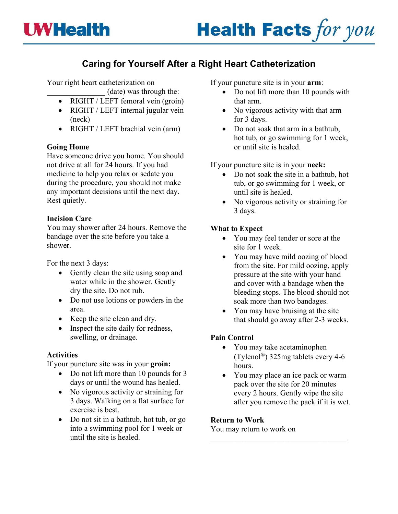

# **Caring for Yourself After a Right Heart Catheterization**

Your right heart catheterization on

- \_\_\_\_\_\_\_\_\_\_\_\_\_\_\_ (date) was through the:
- RIGHT / LEFT femoral vein (groin)
- RIGHT / LEFT internal jugular vein (neck)
- RIGHT / LEFT brachial vein (arm)

# **Going Home**

Have someone drive you home. You should not drive at all for 24 hours. If you had medicine to help you relax or sedate you during the procedure, you should not make any important decisions until the next day. Rest quietly.

## **Incision Care**

You may shower after 24 hours. Remove the bandage over the site before you take a shower.

For the next 3 days:

- Gently clean the site using soap and water while in the shower. Gently dry the site. Do not rub.
- Do not use lotions or powders in the area.
- Keep the site clean and dry.
- Inspect the site daily for redness, swelling, or drainage.

# **Activities**

If your puncture site was in your **groin:**

- Do not lift more than 10 pounds for 3 days or until the wound has healed.
- No vigorous activity or straining for 3 days. Walking on a flat surface for exercise is best.
- Do not sit in a bathtub, hot tub, or go into a swimming pool for 1 week or until the site is healed.

If your puncture site is in your **arm**:

- Do not lift more than 10 pounds with that arm.
- No vigorous activity with that arm for 3 days.
- Do not soak that arm in a bathtub, hot tub, or go swimming for 1 week, or until site is healed.

If your puncture site is in your **neck:**

- Do not soak the site in a bathtub, hot tub, or go swimming for 1 week, or until site is healed.
- No vigorous activity or straining for 3 days.

# **What to Expect**

- You may feel tender or sore at the site for 1 week.
- You may have mild oozing of blood from the site. For mild oozing, apply pressure at the site with your hand and cover with a bandage when the bleeding stops. The blood should not soak more than two bandages.
- You may have bruising at the site that should go away after 2-3 weeks.

# **Pain Control**

- You may take acetaminophen (Tylenol<sup>®</sup>) 325mg tablets every 4-6 hours.
- You may place an ice pack or warm pack over the site for 20 minutes every 2 hours. Gently wipe the site after you remove the pack if it is wet.

 $\mathcal{L}_\text{max}$  , and the set of the set of the set of the set of the set of the set of the set of the set of the set of the set of the set of the set of the set of the set of the set of the set of the set of the set of the

### **Return to Work**

You may return to work on